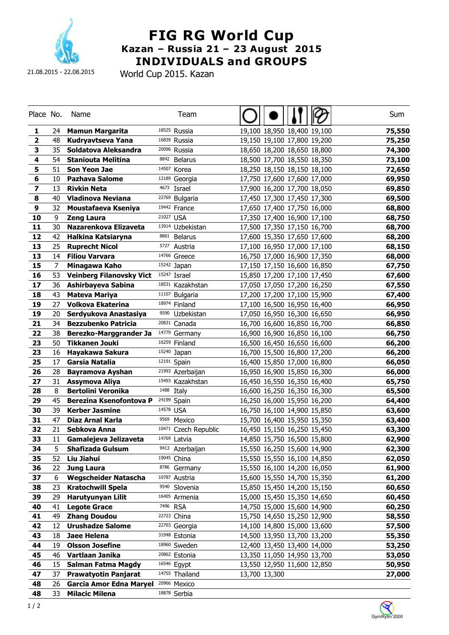

21.08.2015 - 22.08.2015

World Cup 2015. Kazan

| Place No.               |      | Name                            | Team                            |                             | Sum    |
|-------------------------|------|---------------------------------|---------------------------------|-----------------------------|--------|
| 1                       | 24 - | <b>Mamun Margarita</b>          | 18525 Russia                    | 19,100 18,950 18,400 19,100 | 75,550 |
| $\overline{\mathbf{2}}$ | 48   | Kudryavtseva Yana               | 16839 Russia                    | 19,150 19,100 17,800 19,200 | 75,250 |
| 3                       | 35   | Soldatova Aleksandra            | 20096 Russia                    | 18,650 18,200 18,650 18,800 | 74,300 |
| 4                       | 54   | <b>Staniouta Melitina</b>       | 8842<br><b>Belarus</b>          | 18,500 17,700 18,550 18,350 | 73,100 |
| 5                       | 51   | Son Yeon Jae                    | 14507<br>Korea                  | 18,250 18,150 18,150 18,100 | 72,650 |
| 6                       | 10   | <b>Pazhava Salome</b>           | 12189 Georgia                   | 17,750 17,600 17,600 17,000 | 69,950 |
| 7                       | 13   | <b>Rivkin Neta</b>              | 4673<br>Israel                  | 17,900 16,200 17,700 18,050 | 69,850 |
| 8                       | 40   | <b>Vladinova Neviana</b>        | 22769<br>Bulgaria               | 17,450 17,300 17,450 17,300 | 69,500 |
| 9                       | 32   | Moustafaeva Kseniya             | 19442 France                    | 17,650 17,400 17,750 16,000 | 68,800 |
| 10                      | 9    | <b>Zeng Laura</b>               | 21027<br><b>USA</b>             | 17,350 17,400 16,900 17,100 | 68,750 |
| 11                      | 30   | Nazarenkova Elizaveta           | 13914 Uzbekistan                | 17,500 17,350 17,150 16,700 | 68,700 |
| 12                      | 42   | Halkina Katsiaryna              | 8861<br><b>Belarus</b>          | 17,600 15,350 17,650 17,600 | 68,200 |
| 13                      | 25   | <b>Ruprecht Nicol</b>           | 5727<br>Austria                 | 17,100 16,950 17,000 17,100 | 68,150 |
| 13                      | 14   | <b>Filiou Varvara</b>           | 14766 Greece                    | 16,750 17,000 16,900 17,350 | 68,000 |
| 15                      | 7    | Minagawa Kaho                   | 15242 Japan                     | 17,150 17,150 16,600 16,850 | 67,750 |
| 16                      | 53   | <b>Veinberg Filanovsky Vict</b> | 15247 Israel                    | 15,850 17,200 17,100 17,450 | 67,600 |
| 17                      | 36   | Ashirbayeva Sabina              | 18531 Kazakhstan                | 17,050 17,050 17,200 16,250 | 67,550 |
| 18                      | 43   | <b>Mateva Mariya</b>            | 11107<br>Bulgaria               | 17,200 17,200 17,100 15,900 | 67,400 |
| 19                      | 27   | <b>Volkova Ekaterina</b>        | 18974 Finland                   | 17,100 16,500 16,950 16,400 | 66,950 |
| 19                      | 20   | Serdyukova Anastasiya           | 9590<br>Uzbekistan              | 17,050 16,950 16,300 16,650 | 66,950 |
| 21                      | 34   | <b>Bezzubenko Patricia</b>      | <sup>20831</sup> Canada         | 16,700 16,600 16,850 16,700 | 66,850 |
| 22                      | 38   | Berezko-Marggrander Ja          | 14779<br>Germany                | 16,900 16,900 16,850 16,100 | 66,750 |
| 23                      | 50   | <b>Tikkanen Jouki</b>           | 16259<br>Finland                | 16,500 16,450 16,650 16,600 | 66,200 |
| 23                      | 16   | Hayakawa Sakura                 | 15240 Japan                     | 16,700 15,500 16,800 17,200 | 66,200 |
| 25                      | 17   | <b>Garsia Natalia</b>           | 12191 Spain                     | 16,400 15,850 17,000 16,800 | 66,050 |
| 26                      | 28   | <b>Bayramova Ayshan</b>         | <sup>21993</sup> Azerbaijan     | 16,950 16,900 15,850 16,300 | 66,000 |
| 27                      | 31   | Assymova Aliya                  | 15493<br>Kazakhstan             | 16,450 16,550 16,350 16,400 | 65,750 |
| 28                      | 8    | <b>Bertolini Veronika</b>       | 1488<br>Italy                   | 16,600 16,250 16,350 16,300 | 65,500 |
| 29                      | 45   | Berezina Ksenofontova P         | $24199$ Spain                   | 16,250 16,000 15,950 16,200 | 64,400 |
| 30                      | 39   | <b>Kerber Jasmine</b>           | 14578 USA                       | 16,750 16,100 14,900 15,850 | 63,600 |
| 31                      | 47   | Diaz Arnal Karla                | 9569<br>Mexico                  | 15,700 16,400 15,950 15,350 | 63,400 |
| 32                      | 21   | Sebkova Anna                    | <sup>10471</sup> Czech Republic | 16,450 15,150 16,250 15,450 | 63,300 |
| 33                      | 11   | Gamalejeva Jelizaveta           | 14769 Latvia                    | 14,850 15,750 16,500 15,800 | 62,900 |
| 34                      | 5    | Shafizada Gulsum                | 9413<br>Azerbaijan              | 15,550 16,250 15,600 14,900 | 62,300 |
| 35                      | 52   | Liu Jiahui                      | 19045<br>China                  | 15,550 15,550 16,100 14,850 | 62,050 |
| 36                      | 22   | <b>Jung Laura</b>               | 8786<br>Germany                 | 15,550 16,100 14,200 16,050 | 61,900 |
| 37                      | 6    | <b>Wegscheider Natascha</b>     | 10787<br>Austria                | 15,600 15,550 14,700 15,350 | 61,200 |
| 38                      | 23   | <b>Kratochwill Spela</b>        | 9540<br>Slovenia                | 15,850 15,450 14,200 15,150 | 60,650 |
| 39                      | 29   | Harutyunyan Lilit               | 16405<br>Armenia                | 15,000 15,450 15,350 14,650 | 60,450 |
| 40                      | 41   | <b>Legote Grace</b>             | 7496<br><b>RSA</b>              | 14,750 15,000 15,600 14,900 | 60,250 |
| 41                      | 49   | <b>Zhang Doudou</b>             | 22723<br>China                  | 15,750 14,650 15,250 12,900 | 58,550 |
| 42                      | 12   | <b>Urushadze Salome</b>         | 22703 Georgia                   | 14,100 14,800 15,000 13,600 | 57,500 |
| 43                      | 18   | Jaee Helena                     | 31948<br>Estonia                | 14,500 13,950 13,700 13,200 | 55,350 |
| 44                      | 19   | <b>Olsson Josefine</b>          | 18960 Sweden                    | 12,400 13,450 13,400 14,000 | 53,250 |
| 45                      | 46   | Vartlaan Janika                 | <sup>20862</sup> Estonia        | 13,350 11,050 14,950 13,700 | 53,050 |
| 46                      | 15   | <b>Salman Fatma Magdy</b>       | 16546 Egypt                     | 13,550 12,950 11,600 12,850 | 50,950 |
| 47                      | 37   | <b>Prawatyotin Panjarat</b>     | 14755 Thailand                  | 13,700 13,300               | 27,000 |
| 48                      | 26   | <b>Garcia Amor Edna Maryel</b>  | 20966 Mexico                    |                             |        |
| 48                      | 33   | <b>Milacic Milena</b>           | 18878 Serbia                    |                             |        |

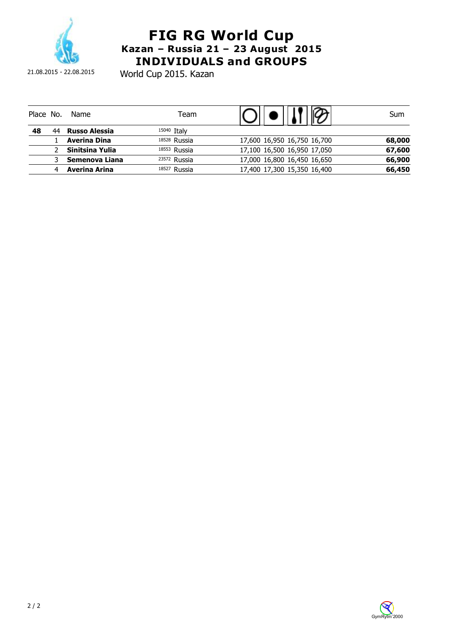

21.08.2015 - 22.08.2015

World Cup 2015. Kazan

| Place No. |   | Name                 | Team         |                             | Sum    |
|-----------|---|----------------------|--------------|-----------------------------|--------|
| 48        |   | <b>Russo Alessia</b> | 15040 Italy  |                             |        |
|           |   | <b>Averina Dina</b>  | 18528 Russia | 17,600 16,950 16,750 16,700 | 68,000 |
|           |   | Sinitsina Yulia      | 18553 Russia | 17,100 16,500 16,950 17,050 | 67,600 |
|           |   | Semenova Liana       | 23572 Russia | 17,000 16,800 16,450 16,650 | 66,900 |
|           | 4 | Averina Arina        | 18527 Russia | 17,400 17,300 15,350 16,400 | 66,450 |

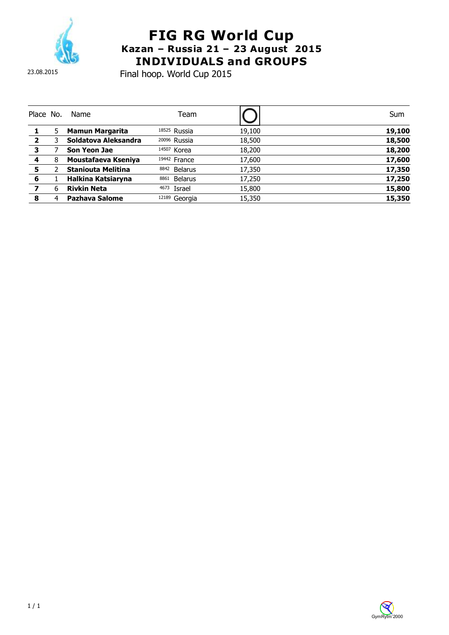

Final hoop. World Cup 2015

| Place No.      |   | <b>Name</b>               | Team                     |        | Sum    |
|----------------|---|---------------------------|--------------------------|--------|--------|
|                | 5 | <b>Mamun Margarita</b>    | 18525 Russia             | 19,100 | 19,100 |
| $\overline{2}$ |   | Soldatova Aleksandra      | <sup>20096</sup> Russia  | 18,500 | 18,500 |
| 3              |   | Son Yeon Jae              | 14507 Korea              | 18,200 | 18,200 |
| 4              | 8 | Moustafaeva Kseniya       | 19442 France             | 17,600 | 17,600 |
| 5              |   | <b>Staniouta Melitina</b> | 8842<br>Belarus          | 17,350 | 17,350 |
| 6              |   | Halkina Katsiaryna        | Belarus<br>8861          | 17,250 | 17,250 |
| 7              | 6 | <b>Rivkin Neta</b>        | 4673<br>Israel           | 15,800 | 15,800 |
| 8              |   | <b>Pazhava Salome</b>     | <sup>12189</sup> Georgia | 15,350 | 15,350 |

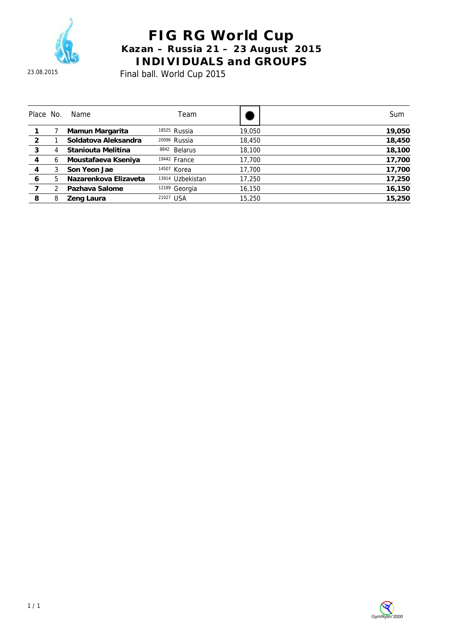

23.08.2015

# **FIG RG World Cup Kazan – Russia 21 – 23 August 2015 INDIVIDUALS and GROUPS**

Final ball. World Cup 2015

| Place No.      |   | Name                  | Team                     |        | Sum    |
|----------------|---|-----------------------|--------------------------|--------|--------|
|                |   | Mamun Margarita       | <sup>18525</sup> Russia  | 19,050 | 19,050 |
| $\overline{2}$ |   | Soldatova Aleksandra  | <sup>20096</sup> Russia  | 18,450 | 18,450 |
| 3              | 4 | Staniouta Melitina    | 8842 Belarus             | 18,100 | 18,100 |
| 4              | 6 | Moustafaeva Kseniya   | 19442 France             | 17.700 | 17,700 |
| 4              | 3 | Son Yeon Jae          | 14507 Korea              | 17,700 | 17,700 |
| 6              | 5 | Nazarenkova Elizaveta | Uzbekistan<br>13914      | 17,250 | 17,250 |
|                |   | Pazhava Salome        | <sup>12189</sup> Georgia | 16,150 | 16,150 |
| 8              | 8 | Zeng Laura            | 21027 USA                | 15,250 | 15,250 |

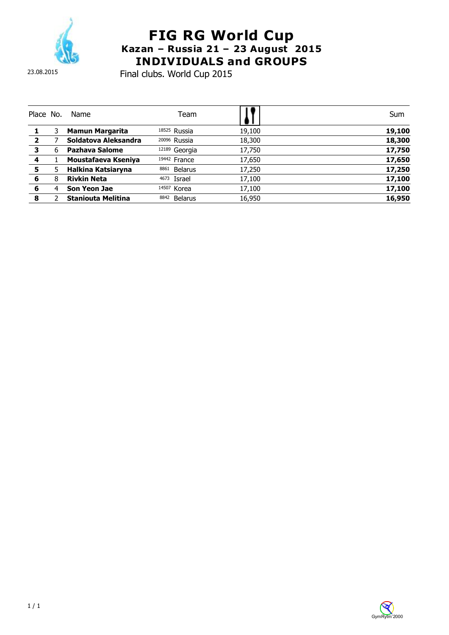

23.08.2015

## **FIG RG World Cup Kazan – Russia 21 – 23 August 2015 INDIVIDUALS and GROUPS**

Final clubs. World Cup 2015

| Place No.      |   | Name                      | Team                    |        | Sum    |
|----------------|---|---------------------------|-------------------------|--------|--------|
|                |   | Mamun Margarita           | 18525 Russia            | 19,100 | 19,100 |
| $\overline{2}$ |   | Soldatova Aleksandra      | <sup>20096</sup> Russia | 18,300 | 18,300 |
| 3              | 6 | Pazhava Salome            | 12189 Georgia           | 17,750 | 17,750 |
| 4              |   | Moustafaeva Kseniya       | 19442 France            | 17,650 | 17,650 |
| 5              | 5 | Halkina Katsiaryna        | 8861<br><b>Belarus</b>  | 17,250 | 17,250 |
| 6              | 8 | <b>Rivkin Neta</b>        | Israel<br>4673          | 17,100 | 17,100 |
| 6              | 4 | Son Yeon Jae              | 14507 Korea             | 17,100 | 17,100 |
| 8              |   | <b>Staniouta Melitina</b> | 8842<br>Belarus         | 16,950 | 16,950 |

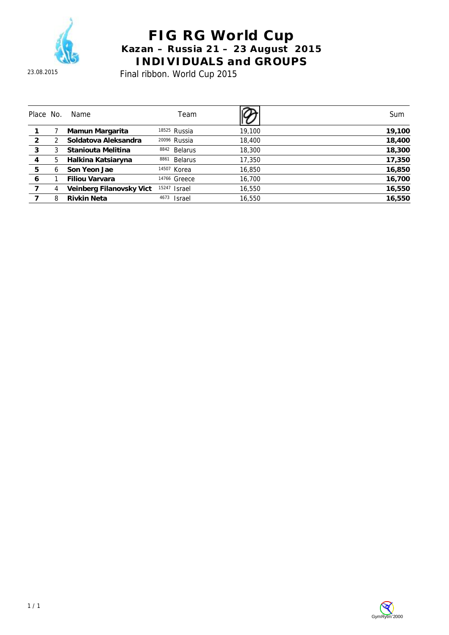

Final ribbon. World Cup 2015

| Place No.      |   | Name                     | Team                    |        | Sum    |
|----------------|---|--------------------------|-------------------------|--------|--------|
|                |   | Mamun Margarita          | 18525 Russia            | 19,100 | 19,100 |
| $\overline{2}$ |   | Soldatova Aleksandra     | <sup>20096</sup> Russia | 18,400 | 18,400 |
| 3              |   | Staniouta Melitina       | Belarus<br>8842         | 18,300 | 18,300 |
| 4              | 5 | Halkina Katsiaryna       | 8861<br><b>Belarus</b>  | 17,350 | 17,350 |
| 5              | 6 | Son Yeon Jae             | 14507 Korea             | 16,850 | 16,850 |
| 6              |   | <b>Filiou Varvara</b>    | 14766 Greece            | 16,700 | 16,700 |
|                | 4 | Veinberg Filanovsky Vict | 15247<br><b>Israel</b>  | 16,550 | 16,550 |
|                | 8 | <b>Rivkin Neta</b>       | 4673<br><b>Israel</b>   | 16,550 | 16.550 |

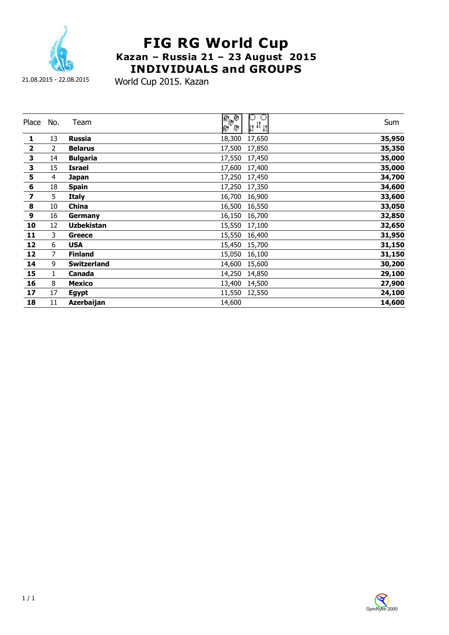

21.08.2015 - 22.08.2015

World Cup 2015. Kazan

| Place                   | No.            | Team               | 0<br>e<br>Pop<br>$\circ$<br>11 <sup>11</sup> 11 | Sum    |
|-------------------------|----------------|--------------------|-------------------------------------------------|--------|
| 1                       | 13             | <b>Russia</b>      | 18,300<br>17,650                                | 35,950 |
| $\overline{\mathbf{2}}$ | 2              | <b>Belarus</b>     | 17,500<br>17,850                                | 35,350 |
| $\mathbf 3$             | 14             | <b>Bulgaria</b>    | 17,550<br>17,450                                | 35,000 |
| $\overline{\mathbf{3}}$ | 15             | Israel             | 17,600<br>17,400                                | 35,000 |
| 5                       | 4              | Japan              | 17,250<br>17,450                                | 34,700 |
| $\overline{\mathbf{6}}$ | 18             | <b>Spain</b>       | 17,250<br>17,350                                | 34,600 |
| $\overline{\mathbf{z}}$ | 5              | <b>Italy</b>       | 16,700<br>16,900                                | 33,600 |
| $\pmb{8}$               | 10             | China              | 16,500<br>16,550                                | 33,050 |
| $\boldsymbol{9}$        | 16             | Germany            | 16,150<br>16,700                                | 32,850 |
| 10                      | 12             | <b>Uzbekistan</b>  | 15,550<br>17,100                                | 32,650 |
| 11                      | 3              | Greece             | 15,550<br>16,400                                | 31,950 |
| 12                      | 6              | <b>USA</b>         | 15,450<br>15,700                                | 31,150 |
| 12                      | $\overline{7}$ | <b>Finland</b>     | 15,050<br>16,100                                | 31,150 |
| 14                      | 9              | <b>Switzerland</b> | 14,600<br>15,600                                | 30,200 |
| 15                      | 1              | Canada             | 14,250<br>14,850                                | 29,100 |
| 16                      | 8              | <b>Mexico</b>      | 13,400<br>14,500                                | 27,900 |
| 17                      | 17             | <b>Egypt</b>       | 11,550<br>12,550                                | 24,100 |
| 18                      | 11             | <b>Azerbaijan</b>  | 14,600                                          | 14,600 |

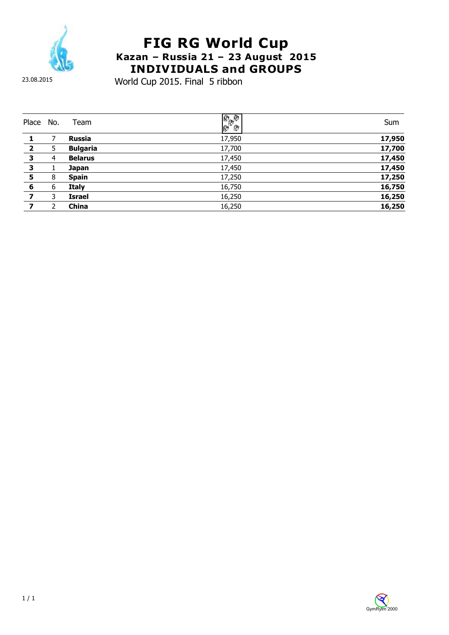

23.08.2015

World Cup 2015. Final 5 ribbon

| Place          | No. | Team            | $\frac{\partial}{\partial \theta}$ | Sum    |
|----------------|-----|-----------------|------------------------------------|--------|
|                |     | <b>Russia</b>   | 17,950                             | 17,950 |
|                |     |                 |                                    |        |
| $\overline{2}$ | 5   | <b>Bulgaria</b> | 17,700                             | 17,700 |
| 3              | 4   | <b>Belarus</b>  | 17,450                             | 17,450 |
| 3              |     | <b>Japan</b>    | 17,450                             | 17,450 |
| 5              | 8   | <b>Spain</b>    | 17,250                             | 17,250 |
| 6              | 6   | <b>Italy</b>    | 16,750                             | 16,750 |
|                | 3   | <b>Israel</b>   | 16,250                             | 16,250 |
| 7              | າ   | China           | 16,250                             | 16,250 |